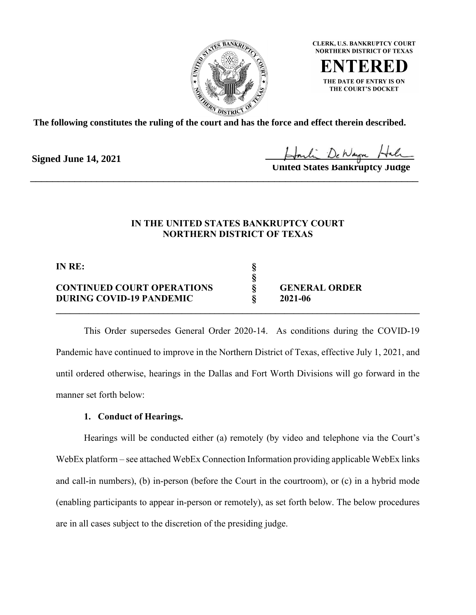

**CLERK, U.S. BANKRUPTCY COURT NORTHERN DISTRICT OF TEXAS** 

THE DATE OF ENTRY IS ON THE COURT'S DOCKET

**The following constitutes the ruling of the court and has the force and effect therein described.**

**Signed June 14, 2021**

**United States Bankruptcy Judge**

\_\_\_\_\_\_\_\_\_\_\_\_\_\_\_\_\_\_\_\_\_\_\_\_\_\_\_\_\_\_\_\_\_\_\_\_\_\_\_\_\_\_\_\_\_\_\_\_\_\_\_\_\_\_\_\_\_\_\_\_\_\_\_\_\_\_\_\_\_\_

### **IN THE UNITED STATES BANKRUPTCY COURT NORTHERN DISTRICT OF TEXAS**

| IN RE:                            |                      |  |
|-----------------------------------|----------------------|--|
| <b>CONTINUED COURT OPERATIONS</b> | <b>GENERAL ORDER</b> |  |
| DURING COVID-19 PANDEMIC          | 2021-06              |  |
|                                   |                      |  |

This Order supersedes General Order 2020-14. As conditions during the COVID-19 Pandemic have continued to improve in the Northern District of Texas, effective July 1, 2021, and until ordered otherwise, hearings in the Dallas and Fort Worth Divisions will go forward in the manner set forth below:

#### **1. Conduct of Hearings.**

Hearings will be conducted either (a) remotely (by video and telephone via the Court's WebEx platform – see attached WebEx Connection Information providing applicable WebEx links and call-in numbers), (b) in-person (before the Court in the courtroom), or (c) in a hybrid mode (enabling participants to appear in-person or remotely), as set forth below. The below procedures are in all cases subject to the discretion of the presiding judge.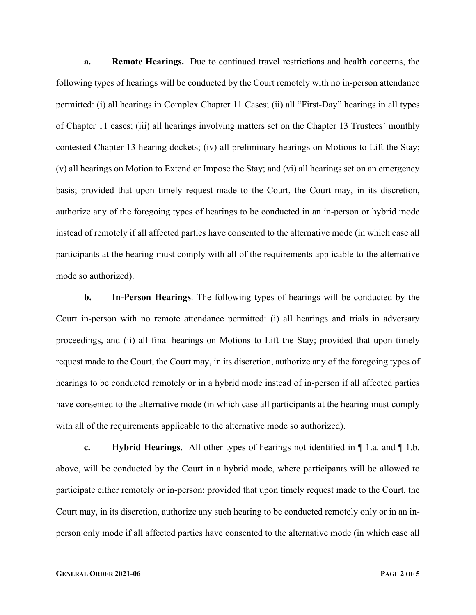**a. Remote Hearings.** Due to continued travel restrictions and health concerns, the following types of hearings will be conducted by the Court remotely with no in-person attendance permitted: (i) all hearings in Complex Chapter 11 Cases; (ii) all "First-Day" hearings in all types of Chapter 11 cases; (iii) all hearings involving matters set on the Chapter 13 Trustees' monthly contested Chapter 13 hearing dockets; (iv) all preliminary hearings on Motions to Lift the Stay; (v) all hearings on Motion to Extend or Impose the Stay; and (vi) all hearings set on an emergency basis; provided that upon timely request made to the Court, the Court may, in its discretion, authorize any of the foregoing types of hearings to be conducted in an in-person or hybrid mode instead of remotely if all affected parties have consented to the alternative mode (in which case all participants at the hearing must comply with all of the requirements applicable to the alternative mode so authorized).

**b. In-Person Hearings**. The following types of hearings will be conducted by the Court in-person with no remote attendance permitted: (i) all hearings and trials in adversary proceedings, and (ii) all final hearings on Motions to Lift the Stay; provided that upon timely request made to the Court, the Court may, in its discretion, authorize any of the foregoing types of hearings to be conducted remotely or in a hybrid mode instead of in-person if all affected parties have consented to the alternative mode (in which case all participants at the hearing must comply with all of the requirements applicable to the alternative mode so authorized).

**c. Hybrid Hearings**. All other types of hearings not identified in ¶ 1.a. and ¶ 1.b. above, will be conducted by the Court in a hybrid mode, where participants will be allowed to participate either remotely or in-person; provided that upon timely request made to the Court, the Court may, in its discretion, authorize any such hearing to be conducted remotely only or in an inperson only mode if all affected parties have consented to the alternative mode (in which case all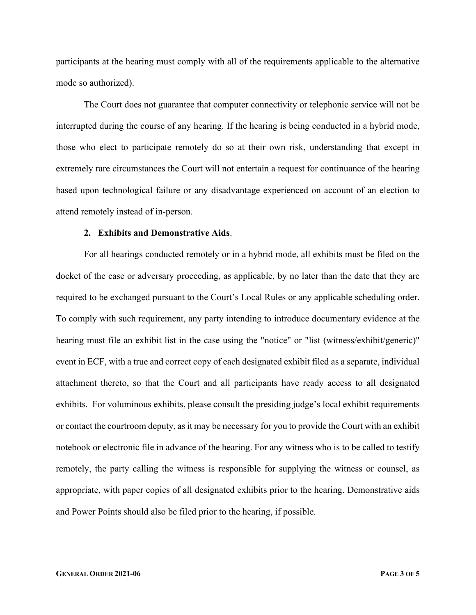participants at the hearing must comply with all of the requirements applicable to the alternative mode so authorized).

The Court does not guarantee that computer connectivity or telephonic service will not be interrupted during the course of any hearing. If the hearing is being conducted in a hybrid mode, those who elect to participate remotely do so at their own risk, understanding that except in extremely rare circumstances the Court will not entertain a request for continuance of the hearing based upon technological failure or any disadvantage experienced on account of an election to attend remotely instead of in-person.

#### **2. Exhibits and Demonstrative Aids**.

For all hearings conducted remotely or in a hybrid mode, all exhibits must be filed on the docket of the case or adversary proceeding, as applicable, by no later than the date that they are required to be exchanged pursuant to the Court's Local Rules or any applicable scheduling order. To comply with such requirement, any party intending to introduce documentary evidence at the hearing must file an exhibit list in the case using the "notice" or "list (witness/exhibit/generic)" event in ECF, with a true and correct copy of each designated exhibit filed as a separate, individual attachment thereto, so that the Court and all participants have ready access to all designated exhibits. For voluminous exhibits, please consult the presiding judge's local exhibit requirements or contact the courtroom deputy, as it may be necessary for you to provide the Court with an exhibit notebook or electronic file in advance of the hearing. For any witness who is to be called to testify remotely, the party calling the witness is responsible for supplying the witness or counsel, as appropriate, with paper copies of all designated exhibits prior to the hearing. Demonstrative aids and Power Points should also be filed prior to the hearing, if possible.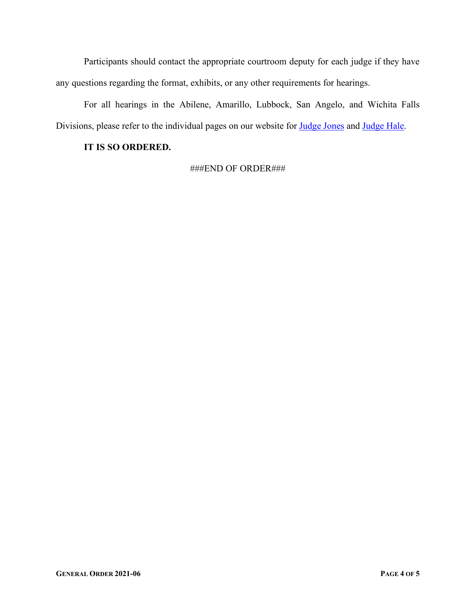Participants should contact the appropriate courtroom deputy for each judge if they have any questions regarding the format, exhibits, or any other requirements for hearings.

For all hearings in the Abilene, Amarillo, Lubbock, San Angelo, and Wichita Falls Divisions, please refer to the individual pages on our website for **Judge Jones and Judge Hale**.

#### **IT IS SO ORDERED.**

###END OF ORDER###